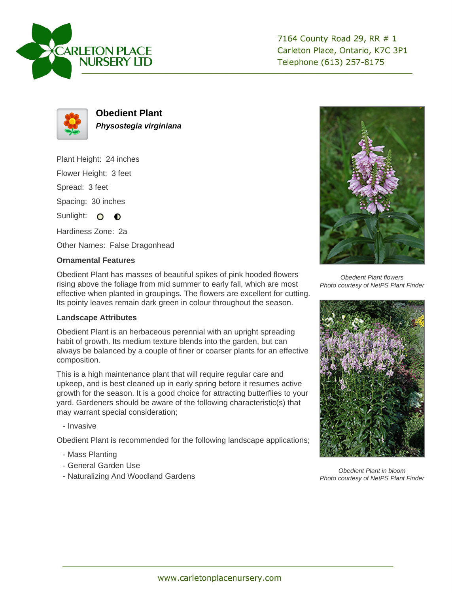

7164 County Road 29, RR # 1 Carleton Place, Ontario, K7C 3P1 Telephone (613) 257-8175



**Obedient Plant Physostegia virginiana**

Plant Height: 24 inches

Flower Height: 3 feet

Spread: 3 feet

Spacing: 30 inches

Sunlight: O **O** 

Hardiness Zone: 2a

Other Names: False Dragonhead

## **Ornamental Features**

Obedient Plant has masses of beautiful spikes of pink hooded flowers rising above the foliage from mid summer to early fall, which are most effective when planted in groupings. The flowers are excellent for cutting. Its pointy leaves remain dark green in colour throughout the season.

## **Landscape Attributes**

Obedient Plant is an herbaceous perennial with an upright spreading habit of growth. Its medium texture blends into the garden, but can always be balanced by a couple of finer or coarser plants for an effective composition.

This is a high maintenance plant that will require regular care and upkeep, and is best cleaned up in early spring before it resumes active growth for the season. It is a good choice for attracting butterflies to your yard. Gardeners should be aware of the following characteristic(s) that may warrant special consideration;

- Invasive

Obedient Plant is recommended for the following landscape applications;

- Mass Planting
- General Garden Use
- Naturalizing And Woodland Gardens



Obedient Plant flowers Photo courtesy of NetPS Plant Finder



Obedient Plant in bloom Photo courtesy of NetPS Plant Finder